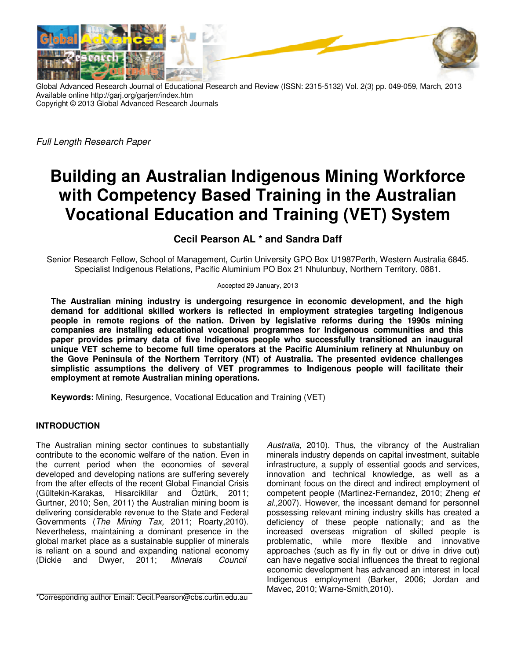

Global Advanced Research Journal of Educational Research and Review (ISSN: 2315-5132) Vol. 2(3) pp. 049-059, March, 2013 Available online http://garj.org/garjerr/index.htm Copyright © 2013 Global Advanced Research Journals

*Full Length Research Paper*

# **Building an Australian Indigenous Mining Workforce with Competency Based Training in the Australian Vocational Education and Training (VET) System**

## **Cecil Pearson AL \* and Sandra Daff**

Senior Research Fellow, School of Management, Curtin University GPO Box U1987Perth, Western Australia 6845. Specialist Indigenous Relations, Pacific Aluminium PO Box 21 Nhulunbuy, Northern Territory, 0881.

Accepted 29 January, 2013

**The Australian mining industry is undergoing resurgence in economic development, and the high demand for additional skilled workers is reflected in employment strategies targeting Indigenous people in remote regions of the nation. Driven by legislative reforms during the 1990s mining companies are installing educational vocational programmes for Indigenous communities and this paper provides primary data of five Indigenous people who successfully transitioned an inaugural unique VET scheme to become full time operators at the Pacific Aluminium refinery at Nhulunbuy on the Gove Peninsula of the Northern Territory (NT) of Australia. The presented evidence challenges simplistic assumptions the delivery of VET programmes to Indigenous people will facilitate their employment at remote Australian mining operations.** 

**Keywords:** Mining, Resurgence, Vocational Education and Training (VET)

## **INTRODUCTION**

The Australian mining sector continues to substantially contribute to the economic welfare of the nation. Even in the current period when the economies of several developed and developing nations are suffering severely from the after effects of the recent Global Financial Crisis (Gültekin-Karakas, Hisarciklilar and Öztürk, 2011; Gurtner, 2010; Sen, 2011) the Australian mining boom is delivering considerable revenue to the State and Federal Governments (*The Mining Tax,* 2011; Roarty,2010). Nevertheless, maintaining a dominant presence in the global market place as a sustainable supplier of minerals is reliant on a sound and expanding national economy (Dickie and Dwyer, 2011; *Minerals Council* 

\*Corresponding author Email: Cecil.Pearson@cbs.curtin.edu.au

*Australia,* 2010). Thus, the vibrancy of the Australian minerals industry depends on capital investment, suitable infrastructure, a supply of essential goods and services, innovation and technical knowledge, as well as a dominant focus on the direct and indirect employment of competent people (Martinez-Fernandez, 2010; Zheng *et al.,*2007). However, the incessant demand for personnel possessing relevant mining industry skills has created a deficiency of these people nationally; and as the increased overseas migration of skilled people is while more flexible and innovative approaches (such as fly in fly out or drive in drive out) can have negative social influences the threat to regional economic development has advanced an interest in local Indigenous employment (Barker, 2006; Jordan and Mavec, 2010; Warne-Smith,2010).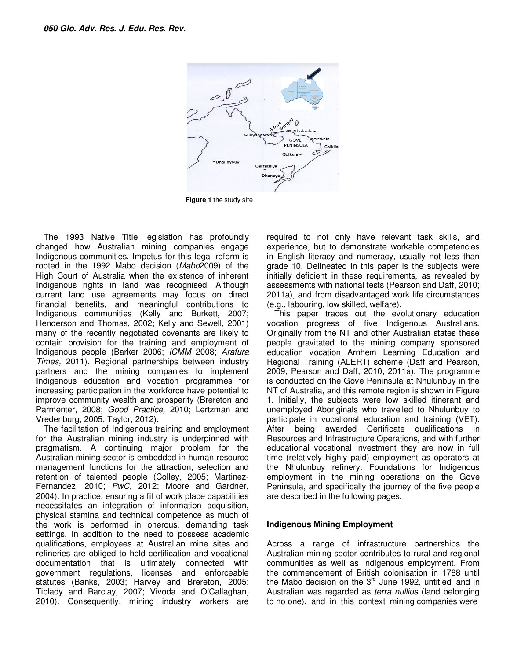

**Figure 1** the study site

The 1993 Native Title legislation has profoundly changed how Australian mining companies engage Indigenous communities. Impetus for this legal reform is rooted in the 1992 Mabo decision (*Mabo*2009) of the High Court of Australia when the existence of inherent Indigenous rights in land was recognised. Although current land use agreements may focus on direct financial benefits, and meaningful contributions to Indigenous communities (Kelly and Burkett, 2007; Henderson and Thomas, 2002; Kelly and Sewell, 2001) many of the recently negotiated covenants are likely to contain provision for the training and employment of Indigenous people (Barker 2006; *ICMM* 2008; *Arafura Times,* 2011). Regional partnerships between industry partners and the mining companies to implement Indigenous education and vocation programmes for increasing participation in the workforce have potential to improve community wealth and prosperity (Brereton and Parmenter, 2008; *Good Practice,* 2010; Lertzman and Vredenburg, 2005; Taylor, 2012).

The facilitation of Indigenous training and employment for the Australian mining industry is underpinned with pragmatism. A continuing major problem for the Australian mining sector is embedded in human resource management functions for the attraction, selection and retention of talented people (Colley, 2005; Martinez-Fernandez, 2010; *PwC,* 2012; Moore and Gardner, 2004). In practice, ensuring a fit of work place capabilities necessitates an integration of information acquisition, physical stamina and technical competence as much of the work is performed in onerous, demanding task settings. In addition to the need to possess academic qualifications, employees at Australian mine sites and refineries are obliged to hold certification and vocational documentation that is ultimately connected with government regulations, licenses and enforceable statutes (Banks, 2003; Harvey and Brereton, 2005; Tiplady and Barclay, 2007; Vivoda and O'Callaghan, 2010). Consequently, mining industry workers are required to not only have relevant task skills, and experience, but to demonstrate workable competencies in English literacy and numeracy, usually not less than grade 10. Delineated in this paper is the subjects were initially deficient in these requirements, as revealed by assessments with national tests (Pearson and Daff, 2010; 2011a), and from disadvantaged work life circumstances (e.g., labouring, low skilled, welfare).

This paper traces out the evolutionary education vocation progress of five Indigenous Australians. Originally from the NT and other Australian states these people gravitated to the mining company sponsored education vocation Arnhem Learning Education and Regional Training (ALERT) scheme (Daff and Pearson, 2009; Pearson and Daff, 2010; 2011a). The programme is conducted on the Gove Peninsula at Nhulunbuy in the NT of Australia, and this remote region is shown in Figure 1. Initially, the subjects were low skilled itinerant and unemployed Aboriginals who travelled to Nhulunbuy to participate in vocational education and training (VET). After being awarded Certificate qualifications in Resources and Infrastructure Operations, and with further educational vocational investment they are now in full time (relatively highly paid) employment as operators at the Nhulunbuy refinery. Foundations for Indigenous employment in the mining operations on the Gove Peninsula, and specifically the journey of the five people are described in the following pages.

#### **Indigenous Mining Employment**

Across a range of infrastructure partnerships the Australian mining sector contributes to rural and regional communities as well as Indigenous employment. From the commencement of British colonisation in 1788 until the Mabo decision on the  $3<sup>rd</sup>$  June 1992, untitled land in Australian was regarded as *terra nullius* (land belonging to no one), and in this context mining companies were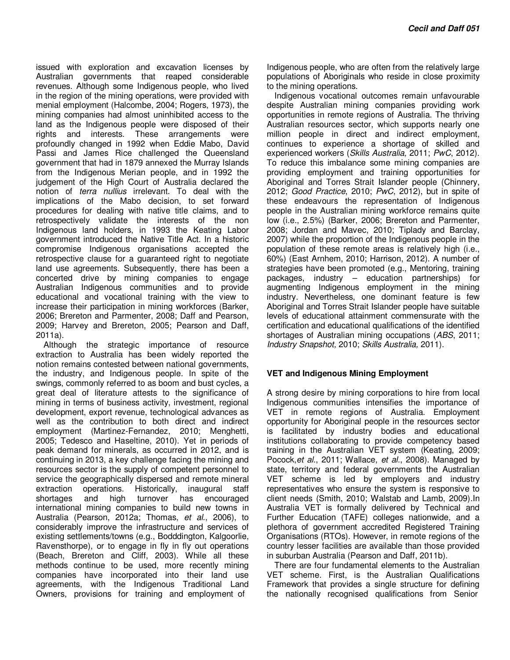issued with exploration and excavation licenses by Australian governments that reaped considerable revenues. Although some Indigenous people, who lived in the region of the mining operations, were provided with menial employment (Halcombe, 2004; Rogers, 1973), the mining companies had almost uninhibited access to the land as the Indigenous people were disposed of their rights and interests. These arrangements were profoundly changed in 1992 when Eddie Mabo, David Passi and James Rice challenged the Queensland government that had in 1879 annexed the Murray Islands from the Indigenous Merian people, and in 1992 the judgement of the High Court of Australia declared the notion of *terra nullius* irrelevant. To deal with the implications of the Mabo decision, to set forward procedures for dealing with native title claims, and to retrospectively validate the interests of the non Indigenous land holders, in 1993 the Keating Labor government introduced the Native Title Act. In a historic compromise Indigenous organisations accepted the retrospective clause for a guaranteed right to negotiate land use agreements. Subsequently, there has been a concerted drive by mining companies to engage Australian Indigenous communities and to provide educational and vocational training with the view to increase their participation in mining workforces (Barker, 2006; Brereton and Parmenter, 2008; Daff and Pearson, 2009; Harvey and Brereton, 2005; Pearson and Daff, 2011a).

Although the strategic importance of resource extraction to Australia has been widely reported the notion remains contested between national governments, the industry, and Indigenous people. In spite of the swings, commonly referred to as boom and bust cycles, a great deal of literature attests to the significance of mining in terms of business activity, investment, regional development, export revenue, technological advances as well as the contribution to both direct and indirect employment (Martinez-Fernandez, 2010; Menghetti, 2005; Tedesco and Haseltine, 2010). Yet in periods of peak demand for minerals, as occurred in 2012, and is continuing in 2013, a key challenge facing the mining and resources sector is the supply of competent personnel to service the geographically dispersed and remote mineral extraction operations. Historically, inaugural staff shortages and high turnover has encouraged international mining companies to build new towns in Australia (Pearson, 2012a; Thomas, *et al*., 2006), to considerably improve the infrastructure and services of existing settlements/towns (e.g., Bodddington, Kalgoorlie, Ravensthorpe), or to engage in fly in fly out operations (Beach, Brereton and Cliff, 2003). While all these methods continue to be used, more recently mining companies have incorporated into their land use agreements, with the Indigenous Traditional Land Owners, provisions for training and employment of

Indigenous people, who are often from the relatively large populations of Aboriginals who reside in close proximity to the mining operations.

Indigenous vocational outcomes remain unfavourable despite Australian mining companies providing work opportunities in remote regions of Australia. The thriving Australian resources sector, which supports nearly one million people in direct and indirect employment, continues to experience a shortage of skilled and experienced workers (*Skills Australia,* 2011; *PwC*, 2012). To reduce this imbalance some mining companies are providing employment and training opportunities for Aboriginal and Torres Strait Islander people (Chinnery, 2012; *Good Practice*, 2010; *PwC*, 2012), but in spite of these endeavours the representation of Indigenous people in the Australian mining workforce remains quite low (i.e., 2.5%) (Barker, 2006; Brereton and Parmenter, 2008; Jordan and Mavec, 2010; Tiplady and Barclay, 2007) while the proportion of the Indigenous people in the population of these remote areas is relatively high (i.e., 60%) (East Arnhem, 2010; Harrison, 2012). A number of strategies have been promoted (e.g., Mentoring, training packages, industry – education partnerships) for augmenting Indigenous employment in the mining industry. Nevertheless, one dominant feature is few Aboriginal and Torres Strait Islander people have suitable levels of educational attainment commensurate with the certification and educational qualifications of the identified shortages of Australian mining occupations (*ABS*, 2011; *Industry Snapshot,* 2010; *Skills Australia,* 2011).

## **VET and Indigenous Mining Employment**

A strong desire by mining corporations to hire from local Indigenous communities intensifies the importance of VET in remote regions of Australia. Employment opportunity for Aboriginal people in the resources sector is facilitated by industry bodies and educational institutions collaborating to provide competency based training in the Australian VET system (Keating, 2009; Pocock,*et al.*, 2011; Wallace, *et al.*, 2008). Managed by state, territory and federal governments the Australian VET scheme is led by employers and industry representatives who ensure the system is responsive to client needs (Smith, 2010; Walstab and Lamb, 2009).In Australia VET is formally delivered by Technical and Further Education (TAFE) colleges nationwide, and a plethora of government accredited Registered Training Organisations (RTOs). However, in remote regions of the country lesser facilities are available than those provided in suburban Australia (Pearson and Daff, 2011b).

There are four fundamental elements to the Australian VET scheme. First, is the Australian Qualifications Framework that provides a single structure for defining the nationally recognised qualifications from Senior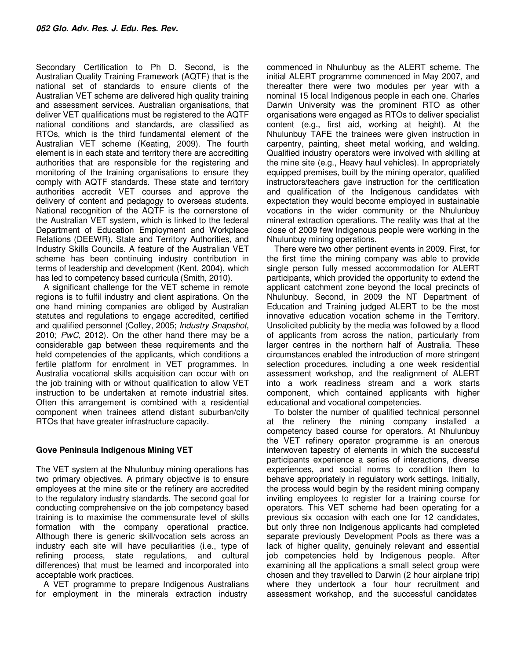Secondary Certification to Ph D. Second, is the Australian Quality Training Framework (AQTF) that is the national set of standards to ensure clients of the Australian VET scheme are delivered high quality training and assessment services. Australian organisations, that deliver VET qualifications must be registered to the AQTF national conditions and standards, are classified as RTOs, which is the third fundamental element of the Australian VET scheme (Keating, 2009). The fourth element is in each state and territory there are accrediting authorities that are responsible for the registering and monitoring of the training organisations to ensure they comply with AQTF standards. These state and territory authorities accredit VET courses and approve the delivery of content and pedagogy to overseas students. National recognition of the AQTF is the cornerstone of the Australian VET system, which is linked to the federal Department of Education Employment and Workplace Relations (DEEWR), State and Territory Authorities, and Industry Skills Councils. A feature of the Australian VET scheme has been continuing industry contribution in terms of leadership and development (Kent, 2004), which has led to competency based curricula (Smith, 2010).

A significant challenge for the VET scheme in remote regions is to fulfil industry and client aspirations. On the one hand mining companies are obliged by Australian statutes and regulations to engage accredited, certified and qualified personnel (Colley, 2005; *Industry Snapshot*, 2010; *PwC*, 2012). On the other hand there may be a considerable gap between these requirements and the held competencies of the applicants, which conditions a fertile platform for enrolment in VET programmes. In Australia vocational skills acquisition can occur with on the job training with or without qualification to allow VET instruction to be undertaken at remote industrial sites. Often this arrangement is combined with a residential component when trainees attend distant suburban/city RTOs that have greater infrastructure capacity.

## **Gove Peninsula Indigenous Mining VET**

The VET system at the Nhulunbuy mining operations has two primary objectives. A primary objective is to ensure employees at the mine site or the refinery are accredited to the regulatory industry standards. The second goal for conducting comprehensive on the job competency based training is to maximise the commensurate level of skills formation with the company operational practice. Although there is generic skill/vocation sets across an industry each site will have peculiarities (i.e., type of refining process, state regulations, and cultural differences) that must be learned and incorporated into acceptable work practices.

A VET programme to prepare Indigenous Australians for employment in the minerals extraction industry

commenced in Nhulunbuy as the ALERT scheme. The initial ALERT programme commenced in May 2007, and thereafter there were two modules per year with a nominal 15 local Indigenous people in each one. Charles Darwin University was the prominent RTO as other organisations were engaged as RTOs to deliver specialist content (e.g., first aid, working at height). At the Nhulunbuy TAFE the trainees were given instruction in carpentry, painting, sheet metal working, and welding. Qualified industry operators were involved with skilling at the mine site (e.g., Heavy haul vehicles). In appropriately equipped premises, built by the mining operator, qualified instructors/teachers gave instruction for the certification and qualification of the Indigenous candidates with expectation they would become employed in sustainable vocations in the wider community or the Nhulunbuy mineral extraction operations. The reality was that at the close of 2009 few Indigenous people were working in the Nhulunbuy mining operations.

There were two other pertinent events in 2009. First, for the first time the mining company was able to provide single person fully messed accommodation for ALERT participants, which provided the opportunity to extend the applicant catchment zone beyond the local precincts of Nhulunbuy. Second, in 2009 the NT Department of Education and Training judged ALERT to be the most innovative education vocation scheme in the Territory. Unsolicited publicity by the media was followed by a flood of applicants from across the nation, particularly from larger centres in the northern half of Australia. These circumstances enabled the introduction of more stringent selection procedures, including a one week residential assessment workshop, and the realignment of ALERT into a work readiness stream and a work starts component, which contained applicants with higher educational and vocational competencies.

To bolster the number of qualified technical personnel at the refinery the mining company installed a competency based course for operators. At Nhulunbuy the VET refinery operator programme is an onerous interwoven tapestry of elements in which the successful participants experience a series of interactions, diverse experiences, and social norms to condition them to behave appropriately in regulatory work settings. Initially, the process would begin by the resident mining company inviting employees to register for a training course for operators. This VET scheme had been operating for a previous six occasion with each one for 12 candidates, but only three non Indigenous applicants had completed separate previously Development Pools as there was a lack of higher quality, genuinely relevant and essential job competencies held by Indigenous people. After examining all the applications a small select group were chosen and they travelled to Darwin (2 hour airplane trip) where they undertook a four hour recruitment and assessment workshop, and the successful candidates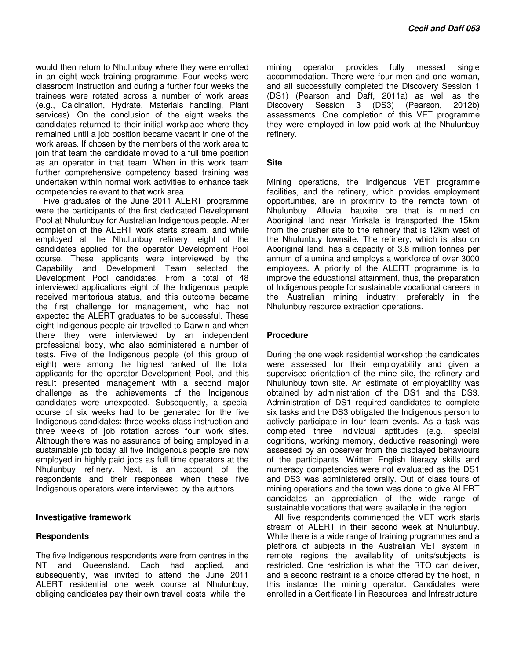would then return to Nhulunbuy where they were enrolled in an eight week training programme. Four weeks were classroom instruction and during a further four weeks the trainees were rotated across a number of work areas (e.g., Calcination, Hydrate, Materials handling, Plant services). On the conclusion of the eight weeks the candidates returned to their initial workplace where they remained until a job position became vacant in one of the work areas. If chosen by the members of the work area to join that team the candidate moved to a full time position as an operator in that team. When in this work team further comprehensive competency based training was undertaken within normal work activities to enhance task competencies relevant to that work area.

Five graduates of the June 2011 ALERT programme were the participants of the first dedicated Development Pool at Nhulunbuy for Australian Indigenous people. After completion of the ALERT work starts stream, and while employed at the Nhulunbuy refinery, eight of the candidates applied for the operator Development Pool course. These applicants were interviewed by the Capability and Development Team selected the Development Pool candidates. From a total of 48 interviewed applications eight of the Indigenous people received meritorious status, and this outcome became the first challenge for management, who had not expected the ALERT graduates to be successful. These eight Indigenous people air travelled to Darwin and when there they were interviewed by an independent professional body, who also administered a number of tests. Five of the Indigenous people (of this group of eight) were among the highest ranked of the total applicants for the operator Development Pool, and this result presented management with a second major challenge as the achievements of the Indigenous candidates were unexpected. Subsequently, a special course of six weeks had to be generated for the five Indigenous candidates: three weeks class instruction and three weeks of job rotation across four work sites. Although there was no assurance of being employed in a sustainable job today all five Indigenous people are now employed in highly paid jobs as full time operators at the Nhulunbuy refinery. Next, is an account of the respondents and their responses when these five Indigenous operators were interviewed by the authors.

#### **Investigative framework**

#### **Respondents**

The five Indigenous respondents were from centres in the NT and Queensland. Each had applied, and subsequently, was invited to attend the June 2011 ALERT residential one week course at Nhulunbuy, obliging candidates pay their own travel costs while the

mining operator provides fully messed single accommodation. There were four men and one woman, and all successfully completed the Discovery Session 1 (DS1) (Pearson and Daff, 2011a) as well as the<br>Discovery Session 3 (DS3) (Pearson, 2012b) Discovery Session 3 (DS3) (Pearson, 2012b) assessments. One completion of this VET programme they were employed in low paid work at the Nhulunbuy refinery.

#### **Site**

Mining operations, the Indigenous VET programme facilities, and the refinery, which provides employment opportunities, are in proximity to the remote town of Nhulunbuy. Alluvial bauxite ore that is mined on Aboriginal land near Yirrkala is transported the 15km from the crusher site to the refinery that is 12km west of the Nhulunbuy townsite. The refinery, which is also on Aboriginal land, has a capacity of 3.8 million tonnes per annum of alumina and employs a workforce of over 3000 employees. A priority of the ALERT programme is to improve the educational attainment, thus, the preparation of Indigenous people for sustainable vocational careers in the Australian mining industry; preferably in the Nhulunbuy resource extraction operations.

#### **Procedure**

During the one week residential workshop the candidates were assessed for their employability and given a supervised orientation of the mine site, the refinery and Nhulunbuy town site. An estimate of employability was obtained by administration of the DS1 and the DS3. Administration of DS1 required candidates to complete six tasks and the DS3 obligated the Indigenous person to actively participate in four team events. As a task was completed three individual aptitudes (e.g., special cognitions, working memory, deductive reasoning) were assessed by an observer from the displayed behaviours of the participants. Written English literacy skills and numeracy competencies were not evaluated as the DS1 and DS3 was administered orally. Out of class tours of mining operations and the town was done to give ALERT candidates an appreciation of the wide range of sustainable vocations that were available in the region.

All five respondents commenced the VET work starts stream of ALERT in their second week at Nhulunbuy. While there is a wide range of training programmes and a plethora of subjects in the Australian VET system in remote regions the availability of units/subjects is restricted. One restriction is what the RTO can deliver, and a second restraint is a choice offered by the host, in this instance the mining operator. Candidates were enrolled in a Certificate I in Resources and Infrastructure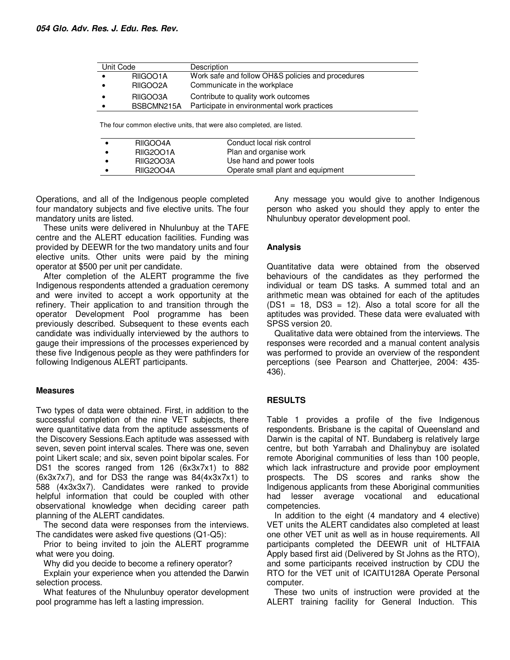| Unit Code |            | Description                                                           |
|-----------|------------|-----------------------------------------------------------------------|
| $\bullet$ | RIIGOO1A   | Work safe and follow OH&S policies and procedures                     |
|           | RIIGOO2A   | Communicate in the workplace                                          |
|           | RIIGOO3A   | Contribute to quality work outcomes                                   |
|           | BSBCMN215A | Participate in environmental work practices                           |
|           |            |                                                                       |
|           |            | The four common elective units, that were also completed, are listed. |

| RIIGOO4A         | Conduct local risk control        |
|------------------|-----------------------------------|
| <b>RIIG2001A</b> | Plan and organise work            |
| RIIG2003A        | Use hand and power tools          |
| <b>RIIG2004A</b> | Operate small plant and equipment |

Operations, and all of the Indigenous people completed four mandatory subjects and five elective units. The four mandatory units are listed.

These units were delivered in Nhulunbuy at the TAFE centre and the ALERT education facilities. Funding was provided by DEEWR for the two mandatory units and four elective units. Other units were paid by the mining operator at \$500 per unit per candidate.

After completion of the ALERT programme the five Indigenous respondents attended a graduation ceremony and were invited to accept a work opportunity at the refinery. Their application to and transition through the operator Development Pool programme has been previously described. Subsequent to these events each candidate was individually interviewed by the authors to gauge their impressions of the processes experienced by these five Indigenous people as they were pathfinders for following Indigenous ALERT participants.

#### **Measures**

Two types of data were obtained. First, in addition to the successful completion of the nine VET subjects, there were quantitative data from the aptitude assessments of the Discovery Sessions.Each aptitude was assessed with seven, seven point interval scales. There was one, seven point Likert scale; and six, seven point bipolar scales. For DS1 the scores ranged from 126 (6x3x7x1) to 882 (6x3x7x7), and for DS3 the range was 84(4x3x7x1) to 588 (4x3x3x7). Candidates were ranked to provide helpful information that could be coupled with other observational knowledge when deciding career path planning of the ALERT candidates.

The second data were responses from the interviews. The candidates were asked five questions (Q1-Q5):

Prior to being invited to join the ALERT programme what were you doing.

Why did you decide to become a refinery operator?

Explain your experience when you attended the Darwin selection process.

What features of the Nhulunbuy operator development pool programme has left a lasting impression.

Any message you would give to another Indigenous person who asked you should they apply to enter the Nhulunbuy operator development pool.

## **Analysis**

Quantitative data were obtained from the observed behaviours of the candidates as they performed the individual or team DS tasks. A summed total and an arithmetic mean was obtained for each of the aptitudes  $(DS1 = 18, DS3 = 12)$ . Also a total score for all the aptitudes was provided. These data were evaluated with SPSS version 20.

Qualitative data were obtained from the interviews. The responses were recorded and a manual content analysis was performed to provide an overview of the respondent perceptions (see Pearson and Chatterjee, 2004: 435- 436).

## **RESULTS**

Table 1 provides a profile of the five Indigenous respondents. Brisbane is the capital of Queensland and Darwin is the capital of NT. Bundaberg is relatively large centre, but both Yarrabah and Dhalinybuy are isolated remote Aboriginal communities of less than 100 people, which lack infrastructure and provide poor employment prospects. The DS scores and ranks show the Indigenous applicants from these Aboriginal communities had lesser average vocational and educational competencies.

In addition to the eight (4 mandatory and 4 elective) VET units the ALERT candidates also completed at least one other VET unit as well as in house requirements. All participants completed the DEEWR unit of HLTFAIA Apply based first aid (Delivered by St Johns as the RTO), and some participants received instruction by CDU the RTO for the VET unit of ICAITU128A Operate Personal computer.

These two units of instruction were provided at the ALERT training facility for General Induction. This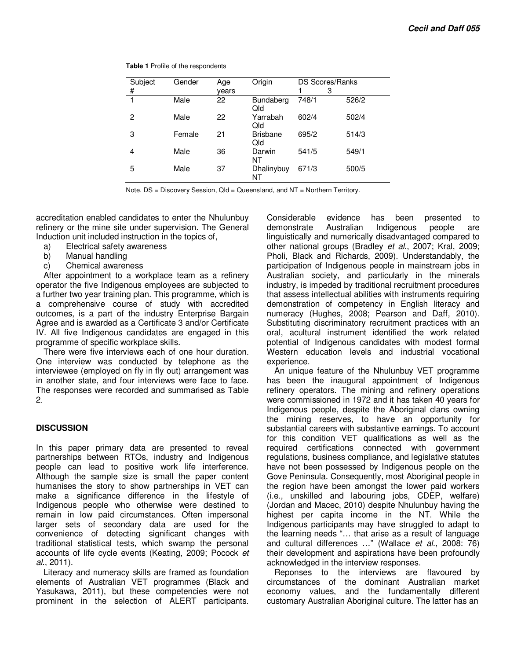| Subject        | Gender | Age   | Origin                  |       | DS Scores/Ranks |
|----------------|--------|-------|-------------------------|-------|-----------------|
| #              |        | vears |                         |       | 3               |
| 1              | Male   | 22    | <b>Bundaberg</b><br>Qld | 748/1 | 526/2           |
| $\overline{c}$ | Male   | 22    | Yarrabah<br>Qld         | 602/4 | 502/4           |
| 3              | Female | 21    | <b>Brisbane</b><br>Qld  | 695/2 | 514/3           |
| 4              | Male   | 36    | Darwin<br>NT            | 541/5 | 549/1           |
| 5              | Male   | 37    | Dhalinybuy<br>NT        | 671/3 | 500/5           |

**Table 1** Profile of the respondents

Note. DS = Discovery Session, Qld = Queensland, and NT = Northern Territory.

accreditation enabled candidates to enter the Nhulunbuy refinery or the mine site under supervision. The General Induction unit included instruction in the topics of,

- a) Electrical safety awareness
- b) Manual handling
- c) Chemical awareness

After appointment to a workplace team as a refinery operator the five Indigenous employees are subjected to a further two year training plan. This programme, which is a comprehensive course of study with accredited outcomes, is a part of the industry Enterprise Bargain Agree and is awarded as a Certificate 3 and/or Certificate IV. All five Indigenous candidates are engaged in this programme of specific workplace skills.

There were five interviews each of one hour duration. One interview was conducted by telephone as the interviewee (employed on fly in fly out) arrangement was in another state, and four interviews were face to face. The responses were recorded and summarised as Table 2.

#### **DISCUSSION**

In this paper primary data are presented to reveal partnerships between RTOs, industry and Indigenous people can lead to positive work life interference. Although the sample size is small the paper content humanises the story to show partnerships in VET can make a significance difference in the lifestyle of Indigenous people who otherwise were destined to remain in low paid circumstances. Often impersonal larger sets of secondary data are used for the convenience of detecting significant changes with traditional statistical tests, which swamp the personal accounts of life cycle events (Keating, 2009; Pocock *et al*., 2011).

Literacy and numeracy skills are framed as foundation elements of Australian VET programmes (Black and Yasukawa, 2011), but these competencies were not prominent in the selection of ALERT participants. Considerable evidence has been presented to demonstrate Australian Indigenous people are linguistically and numerically disadvantaged compared to other national groups (Bradley *et al*., 2007; Kral, 2009; Pholi, Black and Richards, 2009). Understandably, the participation of Indigenous people in mainstream jobs in Australian society, and particularly in the minerals industry, is impeded by traditional recruitment procedures that assess intellectual abilities with instruments requiring demonstration of competency in English literacy and numeracy (Hughes, 2008; Pearson and Daff, 2010). Substituting discriminatory recruitment practices with an oral, acultural instrument identified the work related potential of Indigenous candidates with modest formal Western education levels and industrial vocational experience.

An unique feature of the Nhulunbuy VET programme has been the inaugural appointment of Indigenous refinery operators. The mining and refinery operations were commissioned in 1972 and it has taken 40 years for Indigenous people, despite the Aboriginal clans owning the mining reserves, to have an opportunity for substantial careers with substantive earnings. To account for this condition VET qualifications as well as the required certifications connected with government regulations, business compliance, and legislative statutes have not been possessed by Indigenous people on the Gove Peninsula. Consequently, most Aboriginal people in the region have been amongst the lower paid workers (i.e., unskilled and labouring jobs, CDEP, welfare) (Jordan and Macec, 2010) despite Nhulunbuy having the highest per capita income in the NT. While the Indigenous participants may have struggled to adapt to the learning needs "… that arise as a result of language and cultural differences …" (Wallace *et al.*, 2008: 76) their development and aspirations have been profoundly acknowledged in the interview responses.

Reponses to the interviews are flavoured by circumstances of the dominant Australian market economy values, and the fundamentally different customary Australian Aboriginal culture. The latter has an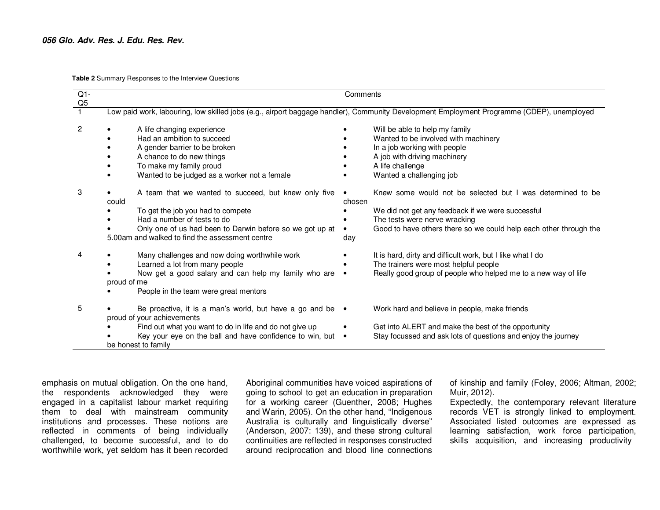**Table 2** Summary Responses to the Interview Questions

| $Q1-$<br>Q <sub>5</sub> | Comments                                                                                                                                                                                                                                         |                                                                                                                                                                                                                                        |  |  |  |  |  |
|-------------------------|--------------------------------------------------------------------------------------------------------------------------------------------------------------------------------------------------------------------------------------------------|----------------------------------------------------------------------------------------------------------------------------------------------------------------------------------------------------------------------------------------|--|--|--|--|--|
|                         | Low paid work, labouring, low skilled jobs (e.g., airport baggage handler), Community Development Employment Programme (CDEP), unemployed                                                                                                        |                                                                                                                                                                                                                                        |  |  |  |  |  |
| 2                       | A life changing experience<br>Had an ambition to succeed<br>A gender barrier to be broken<br>A chance to do new things<br>To make my family proud<br>Wanted to be judged as a worker not a female                                                | Will be able to help my family<br>Wanted to be involved with machinery<br>In a job working with people<br>A job with driving machinery<br>A life challenge<br>Wanted a challenging job                                                 |  |  |  |  |  |
| 3                       | A team that we wanted to succeed, but knew only five<br>could<br>To get the job you had to compete<br>Had a number of tests to do<br>Only one of us had been to Darwin before so we got up at<br>5.00am and walked to find the assessment centre | Knew some would not be selected but I was determined to be<br>chosen<br>We did not get any feedback if we were successful<br>The tests were nerve wracking<br>Good to have others there so we could help each other through the<br>day |  |  |  |  |  |
| 4                       | Many challenges and now doing worthwhile work<br>Learned a lot from many people<br>Now get a good salary and can help my family who are<br>proud of me<br>People in the team were great mentors                                                  | It is hard, dirty and difficult work, but I like what I do<br>The trainers were most helpful people<br>Really good group of people who helped me to a new way of life                                                                  |  |  |  |  |  |
| 5                       | Be proactive, it is a man's world, but have a go and be $\bullet$<br>proud of your achievements<br>Find out what you want to do in life and do not give up<br>Key your eye on the ball and have confidence to win, but .<br>be honest to family  | Work hard and believe in people, make friends<br>Get into ALERT and make the best of the opportunity<br>Stay focussed and ask lots of questions and enjoy the journey                                                                  |  |  |  |  |  |

emphasis on mutual obligation. On the one hand, the respondents acknowledged they were engaged in a capitalist labour market requiring them to deal with mainstream community institutions and processes. These notions are reflected in comments of being individually challenged, to become successful, and to do worthwhile work, yet seldom has it been recorded Aboriginal communities have voiced aspirations of going to school to get an education in preparation for a working career (Guenther, 2008; Hughes and Warin, 2005). On the other hand, "Indigenous Australia is culturally and linguistically diverse" (Anderson, 2007: 139), and these strong cultural continuities are reflected in responses constructed around reciprocation and blood line connections of kinship and family (Foley, 2006; Altman, 2002; Muir, 2012).

 Expectedly, the contemporary relevant literature records VET is strongly linked to employment. Associated listed outcomes are expressed as learning satisfaction, work force participation, skills acquisition, and increasing productivity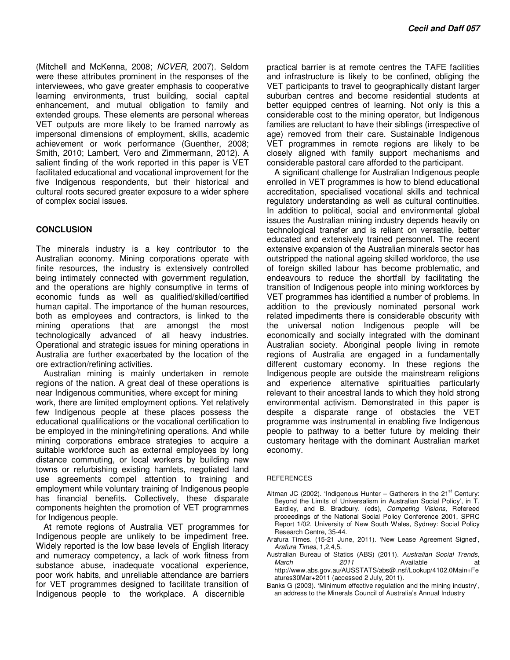(Mitchell and McKenna, 2008; *NCVER*, 2007). Seldom were these attributes prominent in the responses of the interviewees, who gave greater emphasis to cooperative learning environments, trust building, social capital enhancement, and mutual obligation to family and extended groups. These elements are personal whereas VET outputs are more likely to be framed narrowly as impersonal dimensions of employment, skills, academic achievement or work performance (Guenther, 2008; Smith, 2010; Lambert, Vero and Zimmermann, 2012). A salient finding of the work reported in this paper is VET facilitated educational and vocational improvement for the five Indigenous respondents, but their historical and cultural roots secured greater exposure to a wider sphere of complex social issues.

### **CONCLUSION**

The minerals industry is a key contributor to the Australian economy. Mining corporations operate with finite resources, the industry is extensively controlled being intimately connected with government regulation, and the operations are highly consumptive in terms of economic funds as well as qualified/skilled/certified human capital. The importance of the human resources, both as employees and contractors, is linked to the mining operations that are amongst the most technologically advanced of all heavy industries. Operational and strategic issues for mining operations in Australia are further exacerbated by the location of the ore extraction/refining activities.

Australian mining is mainly undertaken in remote regions of the nation. A great deal of these operations is near Indigenous communities, where except for mining work, there are limited employment options. Yet relatively few Indigenous people at these places possess the educational qualifications or the vocational certification to be employed in the mining/refining operations. And while mining corporations embrace strategies to acquire a suitable workforce such as external employees by long distance commuting, or local workers by building new towns or refurbishing existing hamlets, negotiated land use agreements compel attention to training and employment while voluntary training of Indigenous people has financial benefits. Collectively, these disparate components heighten the promotion of VET programmes for Indigenous people.

At remote regions of Australia VET programmes for Indigenous people are unlikely to be impediment free. Widely reported is the low base levels of English literacy and numeracy competency, a lack of work fitness from substance abuse, inadequate vocational experience, poor work habits, and unreliable attendance are barriers for VET programmes designed to facilitate transition of Indigenous people to the workplace. A discernible

practical barrier is at remote centres the TAFE facilities and infrastructure is likely to be confined, obliging the VET participants to travel to geographically distant larger suburban centres and become residential students at better equipped centres of learning. Not only is this a considerable cost to the mining operator, but Indigenous families are reluctant to have their siblings (irrespective of age) removed from their care. Sustainable Indigenous VET programmes in remote regions are likely to be closely aligned with family support mechanisms and considerable pastoral care afforded to the participant.

A significant challenge for Australian Indigenous people enrolled in VET programmes is how to blend educational accreditation, specialised vocational skills and technical regulatory understanding as well as cultural continuities. In addition to political, social and environmental global issues the Australian mining industry depends heavily on technological transfer and is reliant on versatile, better educated and extensively trained personnel. The recent extensive expansion of the Australian minerals sector has outstripped the national ageing skilled workforce, the use of foreign skilled labour has become problematic, and endeavours to reduce the shortfall by facilitating the transition of Indigenous people into mining workforces by VET programmes has identified a number of problems. In addition to the previously nominated personal work related impediments there is considerable obscurity with the universal notion Indigenous people will be economically and socially integrated with the dominant Australian society. Aboriginal people living in remote regions of Australia are engaged in a fundamentally different customary economy. In these regions the Indigenous people are outside the mainstream religions and experience alternative spiritualties particularly relevant to their ancestral lands to which they hold strong environmental activism. Demonstrated in this paper is despite a disparate range of obstacles the VET programme was instrumental in enabling five Indigenous people to pathway to a better future by melding their customary heritage with the dominant Australian market economy.

#### **REFERENCES**

- Altman JC (2002). 'Indigenous Hunter Gatherers in the  $21<sup>st</sup>$  Century: Beyond the Limits of Universalism in Australian Social Policy', in T. Eardley, and B. Bradbury. (eds), *Competing Visions,* Refereed proceedings of the National Social Policy Conference 2001, SPRC Report 1/02, University of New South Wales, Sydney: Social Policy Research Centre, 35-44.
- Arafura Times. (15-21 June, 2011). 'New Lease Agreement Signed', *Arafura Times*, 1,2,4,5.
- Australian Bureau of Statics (ABS) (2011). *Australian Social Trends, March* 2011 **Available** at http://www.abs.gov.au/AUSSTATS/abs@.nsf/Lookup/4102.0Main+Fe atures30Mar+2011 (accessed 2 July, 2011).
- Banks G (2003). 'Minimum effective regulation and the mining industry', an address to the Minerals Council of Australia's Annual Industry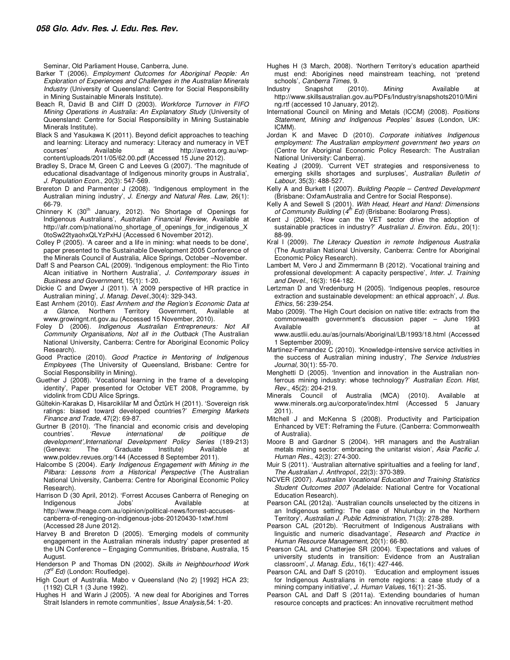Seminar, Old Parliament House, Canberra, June.

- Barker T (2006). *Employment Outcomes for Aboriginal People: An Exploration of Experiences and Challenges in the Australian Minerals Industry* (University of Queensland: Centre for Social Responsibility in Mining Sustainable Minerals Institute).
- Beach R, David B and Cliff D (2003). *Workforce Turnover in FIFO Mining Operations in Australia: An Explanatory Study* (University of Queensland: Centre for Social Responsibility in Mining Sustainable Minerals Institute).
- Black S and Yasukawa K (2011). Beyond deficit approaches to teaching and learning: Literacy and numeracy: Literacy and numeracy in VET courses' Available at http://avetra.org.au/wpcontent/uploads/2011/05/62.00.pdf (Accessed 15 June 2012).
- Bradley S, Drace M, Green C and Leeves G (2007). 'The magnitude of educational disadvantage of Indigenous minority groups in Australia', *J. Population Econ.*, 20(3): 547-569.
- Brereton D and Parmenter J (2008). 'Indigenous employment in the Australian mining industry', *J. Energy and Natural Res. Law,* 26(1): 66-79.
- Chinnery K (30<sup>th</sup> January, 2012). 'No Shortage of Openings for Indigenous Australians', *Australian Financial Review,* Available at http://afr.com/p/national/no\_shortage\_of\_openings\_for\_indigenous\_X 0toSw22tyaohxQLYzPxHJ (Accessed 6 November 2012).
- Colley P (2005). 'A career and a life in mining: what needs to be done', paper presented to the Sustainable Development 2005 Conference of the Minerals Council of Australia, Alice Springs, October –November.
- Daff S and Pearson CAL (2009). 'Indigenous employment: the Rio Tinto Alcan initiative in Northern Australia', *J. Contemporary issues in Business and Government*, 15(1): 1-20.
- Dickie C and Dwyer J (2011). 'A 2009 perspective of HR practice in Australian mining', *J. Manag. Devel.,*30(4): 329-343.
- East Arnhem (2010). *East Arnhem and the Region's Economic Data at a Glance*, Northern Territory Government, Available at www.growingnt.nt.gov.au (Accessed 15 November, 2010).
- Foley D (2006). *Indigenous Australian Entrepreneurs: Not All Community Organisations, Not all in the Outback* (The Australian National University, Canberra: Centre for Aboriginal Economic Policy Research).
- Good Practice (2010). *Good Practice in Mentoring of Indigenous Employees* (The University of Queensland, Brisbane: Centre for Social Responsibility in Mining).
- Guether J (2008). 'Vocational learning in the frame of a developing identity', Paper presented for October VET 2008, Programme, by vidolink from CDU Alice Springs.
- Gültekin-Karakas D, Hisarciklilar M and Öztürk H (2011). 'Sovereign risk ratings: biased toward developed countries?' *Emerging Markets Finance and Trade*, 47(2): 69-87.
- Gurtner B (2010). 'The financial and economic crisis and developing countries'. *'Revue international de politique de development',International Development Policy Series* (189-213) (Geneva: The Graduate Institute) Available at www.poldev.revues.org/144 (Accessed 8 September 2011).
- Halcombe S (2004). *Early Indigenous Engagement with Mining in the Pilbara: Lessons from a Historical Perspective* (The Australian National University, Canberra: Centre for Aboriginal Economic Policy Research).
- Harrison D (30 April, 2012). 'Forrest Accuses Canberra of Reneging on Indigenous Jobs' Available at http://www.theage.com.au/opinion/political-news/forrest-accusescanberra-of-reneging-on-indigenous-jobs-20120430-1xtwf.html (Accessed 28 June 2012).
- Harvey B and Brereton D (2005). 'Emerging models of community engagement in the Australian minerals industry' paper presented at the UN Conference – Engaging Communities, Brisbane, Australia, 15 August.
- Henderson P and Thomas DN (2002). *Skills in Neighbourhood Work (3rd Ed)* (London: Routledge).
- High Court of Australia. Mabo v Queensland (No 2) [1992] HCA 23; (1192) CLR 1 (3 June 1992).
- Hughes H and Warin J (2005). 'A new deal for Aborigines and Torres Strait Islanders in remote communities', *Issue Analysis,*54: 1-20.
- Hughes H (3 March, 2008). 'Northern Territory's education apartheid must end: Aborigines need mainstream teaching, not 'pretend schools', *Canberra Times*, 9.
- Industry Snapshot (2010). *Mining* Available at http://www.skillsaustralian.gov.au/PDFs/Industry/snapshots2010/Mini ng.rtf (accessed 10 January, 2012).
- International Council on Mining and Metals (ICCM) (2008). *Positions Statement, Mining and Indigenous Peoples' Issues* (London, UK: ICMM).
- Jordan K and Mavec D (2010). *Corporate initiatives Indigenous employment: The Australian employment government two years on* (Centre for Aboriginal Economic Policy Research: The Australian National University: Canberra).
- Keating J (2009). 'Current VET strategies and responsiveness to emerging skills shortages and surpluses', *Australian Bulletin of Labour,* 35(3): 488-527.
- Kelly A and Burkett I (2007). *Building People Centred Development* (Brisbane: OxfamAustralia and Centre for Social Response).
- Kelly A and Sewell S (2001). *With Head, Heart and Hand: Dimensions*  of Community Building (4<sup>th</sup> Ed) (Brisbane: Boolarong Press).
- Kent J (2004). 'How can the VET sector drive the adoption of sustainable practices in industry?' *Australian J. Environ. Edu.*, 20(1): 88-99.
- Kral I (2009). *The Literacy Question in remote Indigenous Australia*  (The Australian National University, Canberra: Centre for Aboriginal Economic Policy Research).
- Lambert M, Vero J and Zimmermann B (2012). 'Vocational training and professional development: A capacity perspective', *Inter. J. Training and Devel.*, 16(3): 164-182.
- Lertzman D and Vredenburg H (2005). 'Indigenous peoples, resource extraction and sustainable development: an ethical approach', *J. Bus. Ethics*, 56: 239-254.
- Mabo (2009). 'The High Court decision on native title: extracts from the commonwealth government's discussion paper – June 1993 Available at a structure of the structure of the structure of the structure of the structure of the structure of the structure of the structure of the structure of the structure of the structure of the structure of the str
	- www.austlii.edu.au/as/journals/Aboriginal/LB/1993/18.html (Accessed 1 September 2009).
- Martinez-Fernandez C (2010). 'Knowledge-intensive service activities in the success of Australian mining industry', *The Service Industries Journal,* 30(1): 55-70.
- Menghetti D (2005). 'Invention and innovation in the Australian nonferrous mining industry: whose technology?' *Australian Econ. Hist, Rev.*, 45(2): 204-219.
- Minerals Council of Australia (MCA) (2010). Available at www.minerals.org.au/corporate/index.html (Accessed 5 January 2011).
- Mitchell J and McKenna S (2008). Productivity and Participation Enhanced by VET: Reframing the Future. (Canberra: Commonwealth of Australia).
- Moore B and Gardner S (2004). 'HR managers and the Australian metals mining sector: embracing the unitarist vision', *Asia Pacific J. Human Res.*, 42(3): 274-300.
- Muir S (2011). 'Australian alternative spiritualties and a feeling for land', *The Australian J. Anthropol.,* 22(3): 370-389.
- NCVER (2007). *Australian Vocational Education and Training Statistics Student Outcomes 2007 (*Adelaide: National Centre for Vocational Education Research).
- Pearson CAL (2012a). 'Australian councils unselected by the citizens in an Indigenous setting: The case of Nhulunbuy in the Northern Territory', *Australian J. Public Administration,* 71(3): 278-289.
- Pearson CAL (2012b). 'Recruitment of Indigenous Australians with linguistic and numeric disadvantage', *Research and Practice in Human Resource Management,* 20(1): 66-80.
- Pearson CAL and Chatterjee SR (2004). 'Expectations and values of university students in transition: Evidence from an Australian classroom', *J. Manag. Edu.,* 16(1): 427-446.
- Pearson CAL and Daff S (2010). 'Education and employment issues for Indigenous Australians in remote regions: a case study of a mining company initiative', *J. Human Values,* 16(1): 21-35.
- Pearson CAL and Daff S (2011a). 'Extending boundaries of human resource concepts and practices: An innovative recruitment method